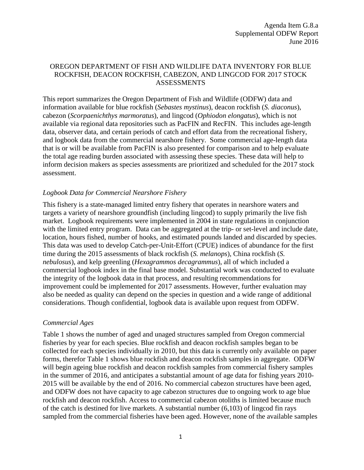#### OREGON DEPARTMENT OF FISH AND WILDLIFE DATA INVENTORY FOR BLUE ROCKFISH, DEACON ROCKFISH, CABEZON, AND LINGCOD FOR 2017 STOCK ASSESSMENTS

This report summarizes the Oregon Department of Fish and Wildlife (ODFW) data and information available for blue rockfish (*Sebastes mystinus*), deacon rockfish (*S. diaconus*), cabezon (*Scorpaenichthys marmoratus*), and lingcod (*Ophiodon elongatus*), which is not available via regional data repositories such as PacFIN and RecFIN. This includes age-length data, observer data, and certain periods of catch and effort data from the recreational fishery, and logbook data from the commercial nearshore fishery. Some commercial age-length data that is or will be available from PacFIN is also presented for comparison and to help evaluate the total age reading burden associated with assessing these species. These data will help to inform decision makers as species assessments are prioritized and scheduled for the 2017 stock assessment.

#### *Logbook Data for Commercial Nearshore Fishery*

This fishery is a state-managed limited entry fishery that operates in nearshore waters and targets a variety of nearshore groundfish (including lingcod) to supply primarily the live fish market. Logbook requirements were implemented in 2004 in state regulations in conjunction with the limited entry program. Data can be aggregated at the trip- or set-level and include date, location, hours fished, number of hooks, and estimated pounds landed and discarded by species. This data was used to develop Catch-per-Unit-Effort (CPUE) indices of abundance for the first time during the 2015 assessments of black rockfish (*S. melanops*), China rockfish (*S. nebulosus*), and kelp greenling (*Hexagrammos decagrammus*), all of which included a commercial logbook index in the final base model. Substantial work was conducted to evaluate the integrity of the logbook data in that process, and resulting recommendations for improvement could be implemented for 2017 assessments. However, further evaluation may also be needed as quality can depend on the species in question and a wide range of additional considerations. Though confidential, logbook data is available upon request from ODFW.

#### *Commercial Ages*

Table 1 shows the number of aged and unaged structures sampled from Oregon commercial fisheries by year for each species. Blue rockfish and deacon rockfish samples began to be collected for each species individually in 2010, but this data is currently only available on paper forms, therefor Table 1 shows blue rockfish and deacon rockfish samples in aggregate. ODFW will begin ageing blue rockfish and deacon rockfish samples from commercial fishery samples in the summer of 2016, and anticipates a substantial amount of age data for fishing years 2010- 2015 will be available by the end of 2016. No commercial cabezon structures have been aged, and ODFW does not have capacity to age cabezon structures due to ongoing work to age blue rockfish and deacon rockfish. Access to commercial cabezon otoliths is limited because much of the catch is destined for live markets. A substantial number (6,103) of lingcod fin rays sampled from the commercial fisheries have been aged. However, none of the available samples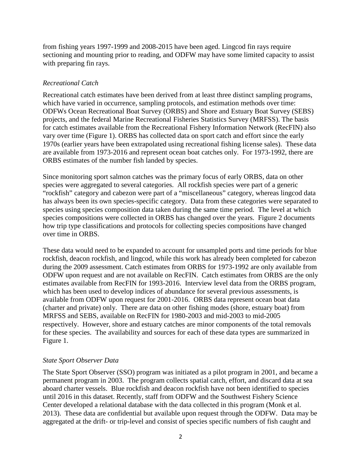from fishing years 1997-1999 and 2008-2015 have been aged. Lingcod fin rays require sectioning and mounting prior to reading, and ODFW may have some limited capacity to assist with preparing fin rays.

### *Recreational Catch*

Recreational catch estimates have been derived from at least three distinct sampling programs, which have varied in occurrence, sampling protocols, and estimation methods over time: ODFWs Ocean Recreational Boat Survey (ORBS) and Shore and Estuary Boat Survey (SEBS) projects, and the federal Marine Recreational Fisheries Statistics Survey (MRFSS). The basis for catch estimates available from the Recreational Fishery Information Network (RecFIN) also vary over time (Figure 1). ORBS has collected data on sport catch and effort since the early 1970s (earlier years have been extrapolated using recreational fishing license sales). These data are available from 1973-2016 and represent ocean boat catches only. For 1973-1992, there are ORBS estimates of the number fish landed by species.

Since monitoring sport salmon catches was the primary focus of early ORBS, data on other species were aggregated to several categories. All rockfish species were part of a generic "rockfish" category and cabezon were part of a "miscellaneous" category, whereas lingcod data has always been its own species-specific category. Data from these categories were separated to species using species composition data taken during the same time period. The level at which species compositions were collected in ORBS has changed over the years. Figure 2 documents how trip type classifications and protocols for collecting species compositions have changed over time in ORBS.

These data would need to be expanded to account for unsampled ports and time periods for blue rockfish, deacon rockfish, and lingcod, while this work has already been completed for cabezon during the 2009 assessment. Catch estimates from ORBS for 1973-1992 are only available from ODFW upon request and are not available on RecFIN. Catch estimates from ORBS are the only estimates available from RecFIN for 1993-2016. Interview level data from the ORBS program, which has been used to develop indices of abundance for several previous assessments, is available from ODFW upon request for 2001-2016. ORBS data represent ocean boat data (charter and private) only. There are data on other fishing modes (shore, estuary boat) from MRFSS and SEBS, available on RecFIN for 1980-2003 and mid-2003 to mid-2005 respectively. However, shore and estuary catches are minor components of the total removals for these species. The availability and sources for each of these data types are summarized in Figure 1.

#### *State Sport Observer Data*

The State Sport Observer (SSO) program was initiated as a pilot program in 2001, and became a permanent program in 2003. The program collects spatial catch, effort, and discard data at sea aboard charter vessels. Blue rockfish and deacon rockfish have not been identified to species until 2016 in this dataset. Recently, staff from ODFW and the Southwest Fishery Science Center developed a relational database with the data collected in this program (Monk et al. 2013). These data are confidential but available upon request through the ODFW. Data may be aggregated at the drift- or trip-level and consist of species specific numbers of fish caught and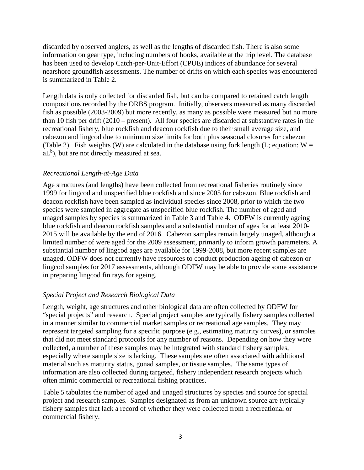discarded by observed anglers, as well as the lengths of discarded fish. There is also some information on gear type, including numbers of hooks, available at the trip level. The database has been used to develop Catch-per-Unit-Effort (CPUE) indices of abundance for several nearshore groundfish assessments. The number of drifts on which each species was encountered is summarized in Table 2.

Length data is only collected for discarded fish, but can be compared to retained catch length compositions recorded by the ORBS program. Initially, observers measured as many discarded fish as possible (2003-2009) but more recently, as many as possible were measured but no more than 10 fish per drift (2010 – present). All four species are discarded at substantive rates in the recreational fishery, blue rockfish and deacon rockfish due to their small average size, and cabezon and lingcod due to minimum size limits for both plus seasonal closures for cabezon (Table 2). Fish weights (W) are calculated in the database using fork length (L; equation:  $W =$  $aL<sup>b</sup>$ ), but are not directly measured at sea.

## *Recreational Length-at-Age Data*

Age structures (and lengths) have been collected from recreational fisheries routinely since 1999 for lingcod and unspecified blue rockfish and since 2005 for cabezon. Blue rockfish and deacon rockfish have been sampled as individual species since 2008, prior to which the two species were sampled in aggregate as unspecified blue rockfish. The number of aged and unaged samples by species is summarized in Table 3 and Table 4. ODFW is currently ageing blue rockfish and deacon rockfish samples and a substantial number of ages for at least 2010- 2015 will be available by the end of 2016. Cabezon samples remain largely unaged, although a limited number of were aged for the 2009 assessment, primarily to inform growth parameters. A substantial number of lingcod ages are available for 1999-2008, but more recent samples are unaged. ODFW does not currently have resources to conduct production ageing of cabezon or lingcod samples for 2017 assessments, although ODFW may be able to provide some assistance in preparing lingcod fin rays for ageing.

## *Special Project and Research Biological Data*

Length, weight, age structures and other biological data are often collected by ODFW for "special projects" and research. Special project samples are typically fishery samples collected in a manner similar to commercial market samples or recreational age samples. They may represent targeted sampling for a specific purpose (e.g., estimating maturity curves), or samples that did not meet standard protocols for any number of reasons. Depending on how they were collected, a number of these samples may be integrated with standard fishery samples, especially where sample size is lacking. These samples are often associated with additional material such as maturity status, gonad samples, or tissue samples. The same types of information are also collected during targeted, fishery independent research projects which often mimic commercial or recreational fishing practices.

Table 5 tabulates the number of aged and unaged structures by species and source for special project and research samples. Samples designated as from an unknown source are typically fishery samples that lack a record of whether they were collected from a recreational or commercial fishery.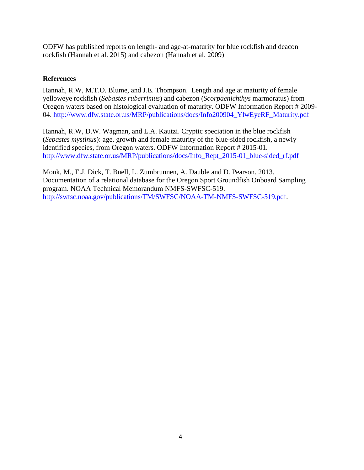ODFW has published reports on length- and age-at-maturity for blue rockfish and deacon rockfish (Hannah et al. 2015) and cabezon (Hannah et al. 2009)

## **References**

Hannah, R.W, M.T.O. Blume, and J.E. Thompson. Length and age at maturity of female yelloweye rockfish (*Sebastes ruberrimus*) and cabezon (*Scorpaenichthys* marmoratus) from Oregon waters based on histological evaluation of maturity. ODFW Information Report # 2009 04. [http://www.dfw.state.or.us/MRP/publications/docs/Info200904\\_YlwEyeRF\\_Maturity.pdf](http://www.dfw.state.or.us/MRP/publications/docs/Info200904_YlwEyeRF_Maturity.pdf)

Hannah, R.W, D.W. Wagman, and L.A. Kautzi. Cryptic speciation in the blue rockfish (*Sebastes mystinus*): age, growth and female maturity of the blue-sided rockfish, a newly identified species, from Oregon waters. ODFW Information Report # 2015-01. [http://www.dfw.state.or.us/MRP/publications/docs/Info\\_Rept\\_2015-01\\_blue-sided\\_rf.pdf](http://www.dfw.state.or.us/MRP/publications/docs/Info_Rept_2015-01_blue-sided_rf.pdf)

Monk, M., E.J. Dick, T. Buell, L. Zumbrunnen, A. Dauble and D. Pearson. 2013. Documentation of a relational database for the Oregon Sport Groundfish Onboard Sampling program. NOAA Technical Memorandum NMFS-SWFSC-519. [http://swfsc.noaa.gov/publications/TM/SWFSC/NOAA-TM-NMFS-SWFSC-519.pdf.](http://swfsc.noaa.gov/publications/TM/SWFSC/NOAA-TM-NMFS-SWFSC-519.pdf)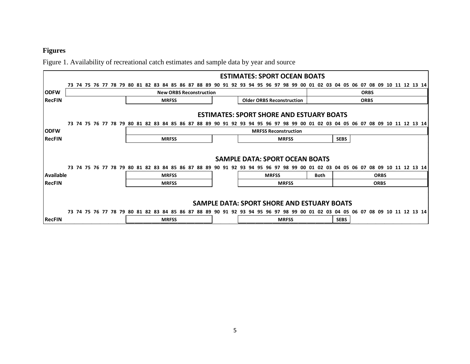# **Figures**

Figure 1. Availability of recreational catch estimates and sample data by year and source

|                                       |  |  |  |  |  |  |                                  |              |  |                                |  |                                                              |  |            |                                                                                                                                                                |             |             |          |                          |                |                 |    |    | <b>ESTIMATES: SPORT OCEAN BOATS</b> |                                                                             |                                                                                      |           |             |                |                   |                                                                                                                                           |             |  |  |                            |  |  |                                                                                                          |
|---------------------------------------|--|--|--|--|--|--|----------------------------------|--------------|--|--------------------------------|--|--------------------------------------------------------------|--|------------|----------------------------------------------------------------------------------------------------------------------------------------------------------------|-------------|-------------|----------|--------------------------|----------------|-----------------|----|----|-------------------------------------|-----------------------------------------------------------------------------|--------------------------------------------------------------------------------------|-----------|-------------|----------------|-------------------|-------------------------------------------------------------------------------------------------------------------------------------------|-------------|--|--|----------------------------|--|--|----------------------------------------------------------------------------------------------------------|
|                                       |  |  |  |  |  |  | 73 74 75 76 77 78 79 80 81 82 83 |              |  | 84 85 86                       |  | -87                                                          |  | -88<br>-89 |                                                                                                                                                                |             |             |          |                          |                |                 |    | 98 | 99                                  |                                                                             |                                                                                      | 03        |             |                | 04 05 06 07 08 09 |                                                                                                                                           |             |  |  | 10 11 12 13 14             |  |  |                                                                                                          |
|                                       |  |  |  |  |  |  |                                  |              |  | <b>New ORBS Reconstruction</b> |  |                                                              |  |            |                                                                                                                                                                |             |             |          |                          |                |                 |    |    |                                     |                                                                             |                                                                                      |           |             |                |                   |                                                                                                                                           | <b>ORBS</b> |  |  |                            |  |  |                                                                                                          |
|                                       |  |  |  |  |  |  |                                  | <b>MRFSS</b> |  |                                |  |                                                              |  |            |                                                                                                                                                                | <b>ORBS</b> |             |          |                          |                |                 |    |    |                                     |                                                                             |                                                                                      |           |             |                |                   |                                                                                                                                           |             |  |  |                            |  |  |                                                                                                          |
|                                       |  |  |  |  |  |  |                                  |              |  |                                |  |                                                              |  |            |                                                                                                                                                                |             |             |          |                          |                |                 |    |    |                                     |                                                                             |                                                                                      |           |             |                |                   |                                                                                                                                           |             |  |  |                            |  |  |                                                                                                          |
|                                       |  |  |  |  |  |  |                                  |              |  |                                |  |                                                              |  |            |                                                                                                                                                                |             |             |          |                          |                |                 |    |    |                                     |                                                                             |                                                                                      |           |             |                |                   |                                                                                                                                           |             |  |  |                            |  |  |                                                                                                          |
|                                       |  |  |  |  |  |  |                                  |              |  |                                |  |                                                              |  |            |                                                                                                                                                                |             |             |          |                          |                |                 |    |    |                                     |                                                                             |                                                                                      |           |             |                |                   |                                                                                                                                           |             |  |  |                            |  |  |                                                                                                          |
|                                       |  |  |  |  |  |  |                                  |              |  |                                |  |                                                              |  |            |                                                                                                                                                                |             |             |          |                          |                |                 |    |    |                                     |                                                                             |                                                                                      |           |             |                |                   |                                                                                                                                           |             |  |  |                            |  |  |                                                                                                          |
| <b>SAMPLE DATA: SPORT OCEAN BOATS</b> |  |  |  |  |  |  |                                  |              |  |                                |  |                                                              |  |            |                                                                                                                                                                |             |             |          |                          |                |                 |    |    |                                     |                                                                             |                                                                                      |           |             |                |                   |                                                                                                                                           |             |  |  |                            |  |  |                                                                                                          |
|                                       |  |  |  |  |  |  |                                  |              |  |                                |  |                                                              |  |            |                                                                                                                                                                |             |             |          |                          |                |                 |    |    |                                     |                                                                             |                                                                                      |           |             |                |                   |                                                                                                                                           |             |  |  |                            |  |  |                                                                                                          |
|                                       |  |  |  |  |  |  |                                  |              |  |                                |  |                                                              |  |            |                                                                                                                                                                |             |             |          |                          |                |                 |    |    |                                     |                                                                             |                                                                                      |           |             |                |                   |                                                                                                                                           |             |  |  |                            |  |  |                                                                                                          |
|                                       |  |  |  |  |  |  |                                  |              |  |                                |  |                                                              |  |            |                                                                                                                                                                |             |             |          |                          |                |                 |    |    |                                     |                                                                             |                                                                                      |           |             |                |                   |                                                                                                                                           |             |  |  |                            |  |  |                                                                                                          |
|                                       |  |  |  |  |  |  |                                  |              |  |                                |  |                                                              |  |            |                                                                                                                                                                |             |             |          |                          |                |                 |    |    |                                     |                                                                             |                                                                                      |           |             |                |                   |                                                                                                                                           |             |  |  |                            |  |  |                                                                                                          |
|                                       |  |  |  |  |  |  |                                  |              |  |                                |  | <b>MRFSS</b><br><b>MRFSS</b><br><b>MRFSS</b><br><b>MRFSS</b> |  |            | 73 74 75 76 77 78 79 80 81 82 83 84 85 86 87 88 89<br>73 74 75 76 77 78 79 80 81 82 83 84 85 86 87 88 89<br>73 74 75 76 77 78 79 80 81 82 83 84 85 86 87 88 89 | 90.         | 90 91<br>91 | 92<br>92 | 90 91 92 93<br>93<br>93. | 94<br>94<br>94 | 95<br>95<br>95. | 96 | 97 | 9697<br><b>MRFSS</b>                | 9899<br><b>MRFSS</b><br>9899<br><b>MRFSS</b><br>96 97 98 99<br><b>MRFSS</b> | <b>Older ORBS Reconstruction</b><br>-00<br><b>MRFSS Reconstruction</b><br>-00<br>-00 | 01<br>-01 | <b>Both</b> | 02 03<br>02 03 | 04                | <b>ESTIMATES: SPORT SHORE AND ESTUARY BOATS</b><br><b>SEBS</b><br><b>SAMPLE DATA: SPORT SHORE AND ESTUARY BOATS</b><br>-05<br><b>SEBS</b> | 06.         |  |  | <b>ORBS</b><br><b>ORBS</b> |  |  | 01 02 03 04 05 06 07 08 09 10 11 12 13 14<br>04 05 06 07 08 09 10 11 12 13 14<br>07 08 09 10 11 12 13 14 |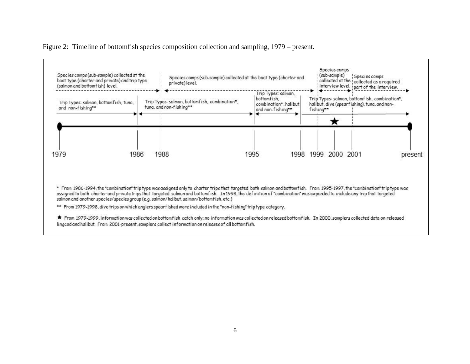Figure 2: Timeline of bottomfish species composition collection and sampling, 1979 – present.

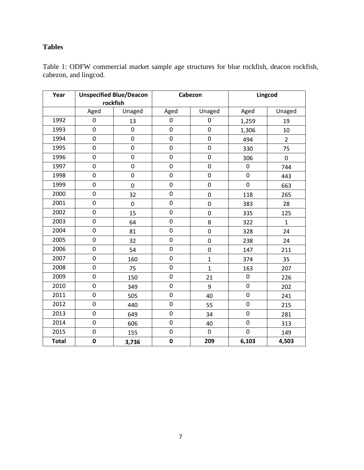## **Tables**

Table 1: ODFW commercial market sample age structures for blue rockfish, deacon rockfish, cabezon, and lingcod.

| Year         |             | <b>Unspecified Blue/Deacon</b> |                  | Cabezon      | Lingcod     |                |  |
|--------------|-------------|--------------------------------|------------------|--------------|-------------|----------------|--|
|              |             | rockfish                       |                  |              |             |                |  |
|              | Aged        | Unaged                         | Aged             | Unaged       | Aged        | Unaged         |  |
| 1992         | $\pmb{0}$   | 13                             | $\pmb{0}$        | $\pmb{0}$    | 1,259       | 19             |  |
| 1993         | $\pmb{0}$   | $\mathbf 0$                    | $\boldsymbol{0}$ | $\mathbf 0$  | 1,306       | 10             |  |
| 1994         | $\pmb{0}$   | 0                              | $\pmb{0}$        | $\mathbf 0$  | 494         | $\overline{2}$ |  |
| 1995         | $\pmb{0}$   | $\boldsymbol{0}$               | $\pmb{0}$        | $\pmb{0}$    | 330         | 75             |  |
| 1996         | $\mathbf 0$ | $\boldsymbol{0}$               | $\mathbf 0$      | $\mathbf 0$  | 306         | $\pmb{0}$      |  |
| 1997         | $\pmb{0}$   | $\boldsymbol{0}$               | $\pmb{0}$        | $\pmb{0}$    | $\pmb{0}$   | 744            |  |
| 1998         | $\pmb{0}$   | $\boldsymbol{0}$               | $\pmb{0}$        | $\pmb{0}$    | $\mathbf 0$ | 443            |  |
| 1999         | $\pmb{0}$   | $\boldsymbol{0}$               | $\mathbf 0$      | $\pmb{0}$    | $\mathbf 0$ | 663            |  |
| 2000         | $\pmb{0}$   | 32                             | $\boldsymbol{0}$ | $\mathbf 0$  | 118         | 265            |  |
| 2001         | $\pmb{0}$   | $\boldsymbol{0}$               | $\pmb{0}$        | $\pmb{0}$    | 383         | 28             |  |
| 2002         | $\pmb{0}$   | 15                             | $\pmb{0}$        | $\pmb{0}$    | 335         | 125            |  |
| 2003         | $\mathbf 0$ | 64                             | $\mathbf 0$      | 8            | 322         | $\mathbf{1}$   |  |
| 2004         | $\pmb{0}$   | 81                             | $\pmb{0}$        | $\pmb{0}$    | 328         | 24             |  |
| 2005         | $\pmb{0}$   | 32                             | $\pmb{0}$        | $\pmb{0}$    | 238         | 24             |  |
| 2006         | $\pmb{0}$   | 54                             | $\boldsymbol{0}$ | $\mathbf 0$  | 147         | 211            |  |
| 2007         | $\pmb{0}$   | 160                            | $\pmb{0}$        | $\mathbf{1}$ | 374         | 35             |  |
| 2008         | $\mathbf 0$ | 75                             | $\pmb{0}$        | $\mathbf{1}$ | 163         | 207            |  |
| 2009         | $\pmb{0}$   | 150                            | $\boldsymbol{0}$ | 21           | $\pmb{0}$   | 226            |  |
| 2010         | $\pmb{0}$   | 349                            | $\boldsymbol{0}$ | 9            | $\pmb{0}$   | 202            |  |
| 2011         | $\pmb{0}$   | 505                            | $\pmb{0}$        | 40           | $\mathbf 0$ | 241            |  |
| 2012         | $\pmb{0}$   | 440                            | $\pmb{0}$        | 55           | $\pmb{0}$   | 215            |  |
| 2013         | $\pmb{0}$   | 649                            | $\pmb{0}$        | 34           | $\pmb{0}$   | 281            |  |
| 2014         | $\mathbf 0$ | 606                            | $\mathbf 0$      | 40           | $\mathbf 0$ | 313            |  |
| 2015         | $\pmb{0}$   | 155                            | $\pmb{0}$        | $\mathbf 0$  | $\mathbf 0$ | 149            |  |
| <b>Total</b> | $\pmb{0}$   | 3,736                          | $\pmb{0}$        | 209          | 6,103       | 4,503          |  |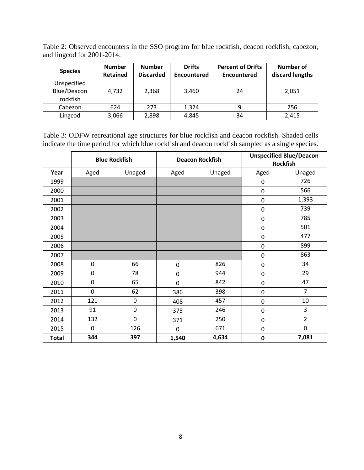| <b>Species</b>                         | <b>Number</b><br><b>Retained</b> | <b>Number</b><br><b>Discarded</b> | <b>Drifts</b><br><b>Encountered</b> | <b>Percent of Drifts</b><br><b>Encountered</b> | Number of<br>discard lengths |
|----------------------------------------|----------------------------------|-----------------------------------|-------------------------------------|------------------------------------------------|------------------------------|
| Unspecified<br>Blue/Deacon<br>rockfish | 4.732                            | 2,368                             | 3.460                               | 24                                             | 2,051                        |
| Cabezon                                | 624                              | 273                               | 1,324                               | 9                                              | 256                          |
| Lingcod                                | 3,066                            | 2,898                             | 4,845                               | 34                                             | 2,415                        |

Table 2: Observed encounters in the SSO program for blue rockfish, deacon rockfish, cabezon, and lingcod for 2001-2014.

Table 3: ODFW recreational age structures for blue rockfish and deacon rockfish. Shaded cells indicate the time period for which blue rockfish and deacon rockfish sampled as a single species.

|              |             | <b>Blue Rockfish</b> |             | <b>Deacon Rockfish</b> |             | <b>Unspecified Blue/Deacon</b><br><b>Rockfish</b> |
|--------------|-------------|----------------------|-------------|------------------------|-------------|---------------------------------------------------|
| Year         | Aged        | Unaged               | Aged        | Unaged                 | Aged        | Unaged                                            |
| 1999         |             |                      |             |                        | $\mathbf 0$ | 726                                               |
| 2000         |             |                      |             |                        | $\pmb{0}$   | 566                                               |
| 2001         |             |                      |             |                        | $\mathbf 0$ | 1,393                                             |
| 2002         |             |                      |             |                        | $\pmb{0}$   | 739                                               |
| 2003         |             |                      |             |                        | $\mathbf 0$ | 785                                               |
| 2004         |             |                      |             |                        | $\pmb{0}$   | 501                                               |
| 2005         |             |                      |             |                        | $\mathbf 0$ | 477                                               |
| 2006         |             |                      |             |                        | $\mathbf 0$ | 899                                               |
| 2007         |             |                      |             |                        | $\pmb{0}$   | 863                                               |
| 2008         | 0           | 66                   | 0           | 826                    | $\pmb{0}$   | 34                                                |
| 2009         | 0           | 78                   | 0           | 944                    | $\mathbf 0$ | 29                                                |
| 2010         | $\mathbf 0$ | 65                   | $\mathbf 0$ | 842                    | $\pmb{0}$   | 47                                                |
| 2011         | $\mathbf 0$ | 62                   | 386         | 398                    | $\mathbf 0$ | $\overline{7}$                                    |
| 2012         | 121         | 0                    | 408         | 457                    | $\mathbf 0$ | 10                                                |
| 2013         | 91          | $\mathbf 0$          | 375         | 246                    | $\mathbf 0$ | 3                                                 |
| 2014         | 132         | $\mathbf 0$          | 371         | 250                    | $\mathbf 0$ | $\overline{2}$                                    |
| 2015         | 0           | 126                  | 0           | 671                    | $\pmb{0}$   | 0                                                 |
| <b>Total</b> | 344         | 397                  | 1,540       | 4,634                  | $\mathbf 0$ | 7,081                                             |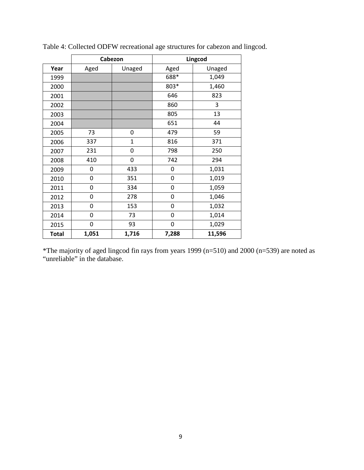|              | Cabezon  |              | Lingcod        |        |  |  |  |  |
|--------------|----------|--------------|----------------|--------|--|--|--|--|
| Year         | Aged     | Unaged       | Aged           | Unaged |  |  |  |  |
| 1999         |          |              | 688*           | 1,049  |  |  |  |  |
| 2000         |          |              | 803*           | 1,460  |  |  |  |  |
| 2001         |          |              | 646            | 823    |  |  |  |  |
| 2002         |          |              | 860            | 3      |  |  |  |  |
| 2003         |          |              | 805            | 13     |  |  |  |  |
| 2004         |          |              | 651            | 44     |  |  |  |  |
| 2005         | 73       | 0            | 479            | 59     |  |  |  |  |
| 2006         | 337      | $\mathbf{1}$ | 816            | 371    |  |  |  |  |
| 2007         | 231      | 0            | 798            | 250    |  |  |  |  |
| 2008         | 410      | 0            | 742            | 294    |  |  |  |  |
| 2009         | $\Omega$ | 433          | 0              | 1,031  |  |  |  |  |
| 2010         | 0        | 351          | $\overline{0}$ | 1,019  |  |  |  |  |
| 2011         | 0        | 334          | 0              | 1,059  |  |  |  |  |
| 2012         | 0        | 278          | 0              | 1,046  |  |  |  |  |
| 2013         | 0        | 153          | 0              | 1,032  |  |  |  |  |
| 2014         | 0        | 73           | 0              | 1,014  |  |  |  |  |
| 2015         | $\Omega$ | 93           | 0              | 1,029  |  |  |  |  |
| <b>Total</b> | 1,051    | 1,716        | 7,288          | 11,596 |  |  |  |  |

Table 4: Collected ODFW recreational age structures for cabezon and lingcod.

\*The majority of aged lingcod fin rays from years 1999 (n=510) and 2000 (n=539) are noted as "unreliable" in the database.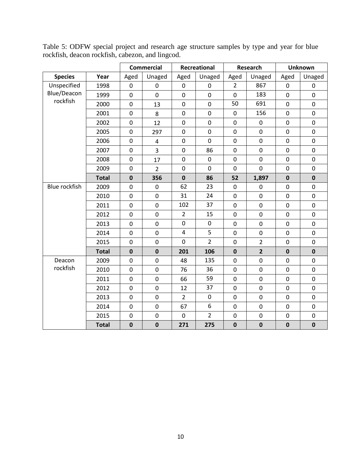|                      |              |                  | <b>Commercial</b>       |                         | Recreational   |                  | Research       | <b>Unknown</b> |                  |  |
|----------------------|--------------|------------------|-------------------------|-------------------------|----------------|------------------|----------------|----------------|------------------|--|
| <b>Species</b>       | Year         | Aged             | Unaged                  | Aged                    | Unaged         | Aged             | Unaged         | Aged           | Unaged           |  |
| Unspecified          | 1998         | $\overline{0}$   | $\overline{0}$          | $\overline{0}$          | $\overline{0}$ | $\overline{2}$   | 867            | $\overline{0}$ | $\overline{0}$   |  |
| Blue/Deacon          | 1999         | 0                | $\mathbf 0$             | $\mathbf 0$             | $\mathbf 0$    | $\mathbf 0$      | 183            | $\pmb{0}$      | $\mathbf 0$      |  |
| rockfish             | 2000         | 0                | 13                      | $\mathbf 0$             | $\mathbf 0$    | 50               | 691            | $\mathbf 0$    | $\overline{0}$   |  |
|                      | 2001         | 0                | 8                       | $\boldsymbol{0}$        | $\pmb{0}$      | $\pmb{0}$        | 156            | $\pmb{0}$      | $\boldsymbol{0}$ |  |
|                      | 2002         | 0                | 12                      | $\mathbf 0$             | $\mathbf 0$    | $\mathbf 0$      | $\mathbf 0$    | $\pmb{0}$      | $\mathbf 0$      |  |
|                      | 2005         | 0                | 297                     | $\mathbf 0$             | $\mathbf 0$    | $\mathbf 0$      | $\mathbf 0$    | $\mathbf 0$    | $\mathbf 0$      |  |
|                      | 2006         | $\boldsymbol{0}$ | $\overline{\mathbf{4}}$ | $\pmb{0}$               | $\mathbf 0$    | $\pmb{0}$        | $\mathbf 0$    | $\pmb{0}$      | $\pmb{0}$        |  |
|                      | 2007         | $\mathbf 0$      | $\overline{3}$          | $\boldsymbol{0}$        | 86             | $\pmb{0}$        | $\mathbf 0$    | $\pmb{0}$      | $\mathbf 0$      |  |
|                      | 2008         | 0                | 17                      | $\mathbf 0$             | $\mathbf 0$    | $\mathbf 0$      | $\mathbf 0$    | $\pmb{0}$      | $\mathbf 0$      |  |
|                      | 2009         | 0                | $\overline{2}$          | $\pmb{0}$               | $\mathbf 0$    | $\mathbf 0$      | $\mathbf 0$    | $\pmb{0}$      | $\mathbf 0$      |  |
|                      | <b>Total</b> | $\mathbf 0$      | 356                     | $\mathbf 0$             | 86             | 52               | 1,897          | $\pmb{0}$      | $\mathbf 0$      |  |
| <b>Blue rockfish</b> | 2009         | $\overline{0}$   | $\mathbf 0$             | 62                      | 23             | $\mathbf 0$      | 0              | $\mathbf 0$    | $\mathbf 0$      |  |
|                      | 2010         | 0                | $\boldsymbol{0}$        | 31                      | 24             | $\pmb{0}$        | $\pmb{0}$      | $\pmb{0}$      | $\boldsymbol{0}$ |  |
|                      | 2011         | 0                | $\boldsymbol{0}$        | 102                     | 37             | $\pmb{0}$        | $\mathbf 0$    | $\pmb{0}$      | $\mathbf 0$      |  |
|                      | 2012         | $\mathbf 0$      | $\mathbf 0$             | $\overline{2}$          | 15             | $\mathbf 0$      | $\mathbf 0$    | $\pmb{0}$      | $\mathbf 0$      |  |
|                      | 2013         | 0                | $\pmb{0}$               | $\mathbf 0$             | $\pmb{0}$      | $\pmb{0}$        | $\mathbf 0$    | $\pmb{0}$      | $\boldsymbol{0}$ |  |
|                      | 2014         | $\mathbf 0$      | $\mathbf 0$             | $\overline{\mathbf{4}}$ | 5              | $\mathbf 0$      | $\overline{0}$ | $\mathbf 0$    | $\mathbf 0$      |  |
|                      | 2015         | 0                | $\mathbf 0$             | $\mathbf 0$             | $\overline{2}$ | $\mathbf 0$      | $\overline{2}$ | $\mathbf 0$    | $\overline{0}$   |  |
|                      | <b>Total</b> | $\mathbf 0$      | $\mathbf 0$             | 201                     | 106            | $\mathbf 0$      | $\overline{2}$ | $\mathbf 0$    | $\mathbf 0$      |  |
| Deacon               | 2009         | 0                | $\mathbf 0$             | 48                      | 135            | $\boldsymbol{0}$ | 0              | $\pmb{0}$      | $\mathbf 0$      |  |
| rockfish             | 2010         | 0                | $\mathbf 0$             | 76                      | 36             | $\mathbf 0$      | $\mathbf 0$    | $\mathbf 0$    | $\mathbf 0$      |  |
|                      | 2011         | 0                | $\boldsymbol{0}$        | 66                      | 59             | $\mathbf 0$      | $\pmb{0}$      | $\pmb{0}$      | $\pmb{0}$        |  |
|                      | 2012         | 0                | $\boldsymbol{0}$        | 12                      | 37             | $\pmb{0}$        | $\overline{0}$ | $\pmb{0}$      | $\mathbf 0$      |  |
|                      | 2013         | $\mathbf 0$      | $\mathbf 0$             | $\overline{2}$          | $\mathbf 0$    | $\mathbf 0$      | $\overline{0}$ | $\mathbf 0$    | $\mathbf 0$      |  |
|                      | 2014         | $\boldsymbol{0}$ | $\pmb{0}$               | 67                      | 6              | $\pmb{0}$        | $\mathbf 0$    | $\pmb{0}$      | $\pmb{0}$        |  |
|                      | 2015         | 0                | $\boldsymbol{0}$        | $\mathbf 0$             | $\overline{2}$ | $\boldsymbol{0}$ | $\pmb{0}$      | $\pmb{0}$      | $\pmb{0}$        |  |
|                      | <b>Total</b> | $\mathbf 0$      | $\mathbf 0$             | 271                     | 275            | $\mathbf 0$      | $\mathbf 0$    | $\mathbf 0$    | $\mathbf 0$      |  |

Table 5: ODFW special project and research age structure samples by type and year for blue rockfish, deacon rockfish, cabezon, and lingcod.